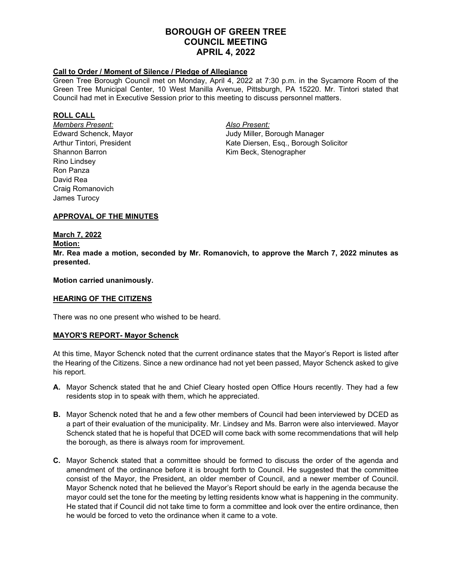# **BOROUGH OF GREEN TREE COUNCIL MEETING APRIL 4, 2022**

## **Call to Order / Moment of Silence / Pledge of Allegiance**

Green Tree Borough Council met on Monday, April 4, 2022 at 7:30 p.m. in the Sycamore Room of the Green Tree Municipal Center, 10 West Manilla Avenue, Pittsburgh, PA 15220. Mr. Tintori stated that Council had met in Executive Session prior to this meeting to discuss personnel matters.

#### **ROLL CALL**

*Members Present: Also Present:* Shannon Barron **Kim Beck, Stenographer** Rino Lindsey Ron Panza David Rea Craig Romanovich James Turocy

Judy Miller, Borough Manager Arthur Tintori, President Kate Diersen, Esq., Borough Solicitor

## **APPROVAL OF THE MINUTES**

## **March 7, 2022**

#### **Motion:**

**Mr. Rea made a motion, seconded by Mr. Romanovich, to approve the March 7, 2022 minutes as presented.**

#### **Motion carried unanimously.**

## **HEARING OF THE CITIZENS**

There was no one present who wished to be heard.

## **MAYOR'S REPORT- Mayor Schenck**

At this time, Mayor Schenck noted that the current ordinance states that the Mayor's Report is listed after the Hearing of the Citizens. Since a new ordinance had not yet been passed, Mayor Schenck asked to give his report.

- **A.** Mayor Schenck stated that he and Chief Cleary hosted open Office Hours recently. They had a few residents stop in to speak with them, which he appreciated.
- **B.** Mayor Schenck noted that he and a few other members of Council had been interviewed by DCED as a part of their evaluation of the municipality. Mr. Lindsey and Ms. Barron were also interviewed. Mayor Schenck stated that he is hopeful that DCED will come back with some recommendations that will help the borough, as there is always room for improvement.
- **C.** Mayor Schenck stated that a committee should be formed to discuss the order of the agenda and amendment of the ordinance before it is brought forth to Council. He suggested that the committee consist of the Mayor, the President, an older member of Council, and a newer member of Council. Mayor Schenck noted that he believed the Mayor's Report should be early in the agenda because the mayor could set the tone for the meeting by letting residents know what is happening in the community. He stated that if Council did not take time to form a committee and look over the entire ordinance, then he would be forced to veto the ordinance when it came to a vote.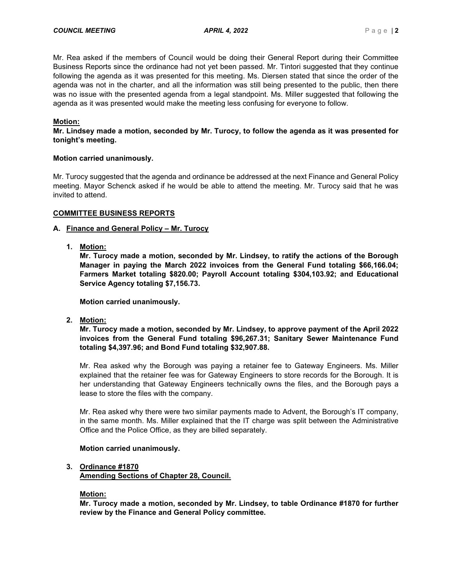Mr. Rea asked if the members of Council would be doing their General Report during their Committee Business Reports since the ordinance had not yet been passed. Mr. Tintori suggested that they continue following the agenda as it was presented for this meeting. Ms. Diersen stated that since the order of the agenda was not in the charter, and all the information was still being presented to the public, then there was no issue with the presented agenda from a legal standpoint. Ms. Miller suggested that following the agenda as it was presented would make the meeting less confusing for everyone to follow.

## **Motion:**

**Mr. Lindsey made a motion, seconded by Mr. Turocy, to follow the agenda as it was presented for tonight's meeting.**

## **Motion carried unanimously.**

Mr. Turocy suggested that the agenda and ordinance be addressed at the next Finance and General Policy meeting. Mayor Schenck asked if he would be able to attend the meeting. Mr. Turocy said that he was invited to attend.

## **COMMITTEE BUSINESS REPORTS**

## **A. Finance and General Policy – Mr. Turocy**

**1. Motion:**

**Mr. Turocy made a motion, seconded by Mr. Lindsey, to ratify the actions of the Borough Manager in paying the March 2022 invoices from the General Fund totaling \$66,166.04; Farmers Market totaling \$820.00; Payroll Account totaling \$304,103.92; and Educational Service Agency totaling \$7,156.73.**

**Motion carried unanimously.**

**2. Motion:**

**Mr. Turocy made a motion, seconded by Mr. Lindsey, to approve payment of the April 2022 invoices from the General Fund totaling \$96,267.31; Sanitary Sewer Maintenance Fund totaling \$4,397.96; and Bond Fund totaling \$32,907.88.**

Mr. Rea asked why the Borough was paying a retainer fee to Gateway Engineers. Ms. Miller explained that the retainer fee was for Gateway Engineers to store records for the Borough. It is her understanding that Gateway Engineers technically owns the files, and the Borough pays a lease to store the files with the company.

Mr. Rea asked why there were two similar payments made to Advent, the Borough's IT company, in the same month. Ms. Miller explained that the IT charge was split between the Administrative Office and the Police Office, as they are billed separately.

## **Motion carried unanimously.**

## **3. Ordinance #1870**

**Amending Sections of Chapter 28, Council.**

## **Motion:**

**Mr. Turocy made a motion, seconded by Mr. Lindsey, to table Ordinance #1870 for further review by the Finance and General Policy committee.**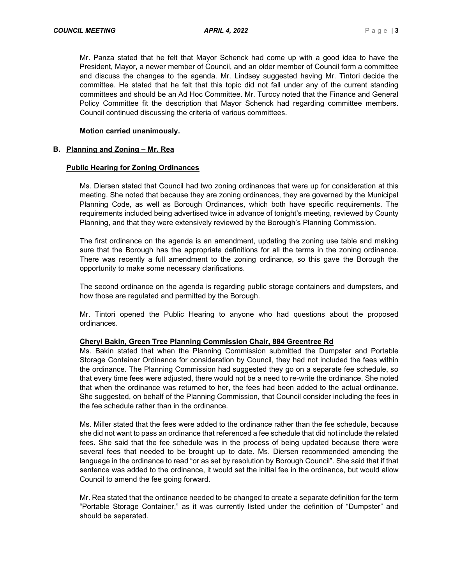Mr. Panza stated that he felt that Mayor Schenck had come up with a good idea to have the President, Mayor, a newer member of Council, and an older member of Council form a committee and discuss the changes to the agenda. Mr. Lindsey suggested having Mr. Tintori decide the committee. He stated that he felt that this topic did not fall under any of the current standing committees and should be an Ad Hoc Committee. Mr. Turocy noted that the Finance and General Policy Committee fit the description that Mayor Schenck had regarding committee members. Council continued discussing the criteria of various committees.

#### **Motion carried unanimously.**

#### **B. Planning and Zoning – Mr. Rea**

#### **Public Hearing for Zoning Ordinances**

Ms. Diersen stated that Council had two zoning ordinances that were up for consideration at this meeting. She noted that because they are zoning ordinances, they are governed by the Municipal Planning Code, as well as Borough Ordinances, which both have specific requirements. The requirements included being advertised twice in advance of tonight's meeting, reviewed by County Planning, and that they were extensively reviewed by the Borough's Planning Commission.

The first ordinance on the agenda is an amendment, updating the zoning use table and making sure that the Borough has the appropriate definitions for all the terms in the zoning ordinance. There was recently a full amendment to the zoning ordinance, so this gave the Borough the opportunity to make some necessary clarifications.

The second ordinance on the agenda is regarding public storage containers and dumpsters, and how those are regulated and permitted by the Borough.

Mr. Tintori opened the Public Hearing to anyone who had questions about the proposed ordinances.

## **Cheryl Bakin, Green Tree Planning Commission Chair, 884 Greentree Rd**

Ms. Bakin stated that when the Planning Commission submitted the Dumpster and Portable Storage Container Ordinance for consideration by Council, they had not included the fees within the ordinance. The Planning Commission had suggested they go on a separate fee schedule, so that every time fees were adjusted, there would not be a need to re-write the ordinance. She noted that when the ordinance was returned to her, the fees had been added to the actual ordinance. She suggested, on behalf of the Planning Commission, that Council consider including the fees in the fee schedule rather than in the ordinance.

Ms. Miller stated that the fees were added to the ordinance rather than the fee schedule, because she did not want to pass an ordinance that referenced a fee schedule that did not include the related fees. She said that the fee schedule was in the process of being updated because there were several fees that needed to be brought up to date. Ms. Diersen recommended amending the language in the ordinance to read "or as set by resolution by Borough Council". She said that if that sentence was added to the ordinance, it would set the initial fee in the ordinance, but would allow Council to amend the fee going forward.

Mr. Rea stated that the ordinance needed to be changed to create a separate definition for the term "Portable Storage Container," as it was currently listed under the definition of "Dumpster" and should be separated.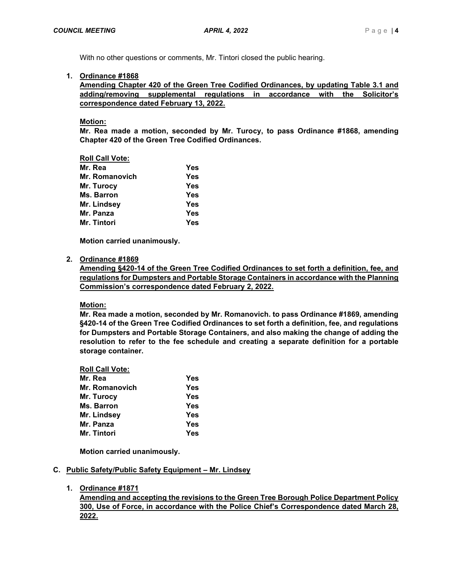With no other questions or comments, Mr. Tintori closed the public hearing.

## **1. Ordinance #1868**

**Amending Chapter 420 of the Green Tree Codified Ordinances, by updating Table 3.1 and adding/removing supplemental regulations in accordance with the Solicitor's correspondence dated February 13, 2022.**

**Motion:**

**Mr. Rea made a motion, seconded by Mr. Turocy, to pass Ordinance #1868, amending Chapter 420 of the Green Tree Codified Ordinances.**

## **Roll Call Vote:**

| Mr. Rea        | Yes        |
|----------------|------------|
| Mr. Romanovich | <b>Yes</b> |
| Mr. Turocy     | <b>Yes</b> |
| Ms. Barron     | <b>Yes</b> |
| Mr. Lindsey    | <b>Yes</b> |
| Mr. Panza      | <b>Yes</b> |
| Mr. Tintori    | Yes        |

**Motion carried unanimously.**

## **2. Ordinance #1869**

**Amending §420-14 of the Green Tree Codified Ordinances to set forth a definition, fee, and regulations for Dumpsters and Portable Storage Containers in accordance with the Planning Commission's correspondence dated February 2, 2022.**

# **Motion:**

**Mr. Rea made a motion, seconded by Mr. Romanovich. to pass Ordinance #1869, amending §420-14 of the Green Tree Codified Ordinances to set forth a definition, fee, and regulations for Dumpsters and Portable Storage Containers, and also making the change of adding the resolution to refer to the fee schedule and creating a separate definition for a portable storage container.**

# **Roll Call Vote:**

| Mr. Rea        | Yes        |
|----------------|------------|
| Mr. Romanovich | Yes        |
| Mr. Turocy     | Yes        |
| Ms. Barron     | Yes        |
| Mr. Lindsey    | <b>Yes</b> |
| Mr. Panza      | Yes        |
| Mr. Tintori    | Yes        |

**Motion carried unanimously.**

## **C. Public Safety/Public Safety Equipment – Mr. Lindsey**

**1. Ordinance #1871**

**Amending and accepting the revisions to the Green Tree Borough Police Department Policy 300, Use of Force, in accordance with the Police Chief's Correspondence dated March 28, 2022.**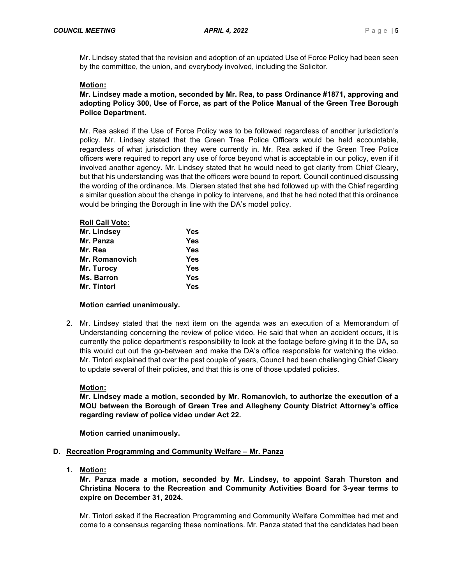Mr. Lindsey stated that the revision and adoption of an updated Use of Force Policy had been seen by the committee, the union, and everybody involved, including the Solicitor.

## **Motion:**

## **Mr. Lindsey made a motion, seconded by Mr. Rea, to pass Ordinance #1871, approving and adopting Policy 300, Use of Force, as part of the Police Manual of the Green Tree Borough Police Department.**

Mr. Rea asked if the Use of Force Policy was to be followed regardless of another jurisdiction's policy. Mr. Lindsey stated that the Green Tree Police Officers would be held accountable, regardless of what jurisdiction they were currently in. Mr. Rea asked if the Green Tree Police officers were required to report any use of force beyond what is acceptable in our policy, even if it involved another agency. Mr. Lindsey stated that he would need to get clarity from Chief Cleary, but that his understanding was that the officers were bound to report. Council continued discussing the wording of the ordinance. Ms. Diersen stated that she had followed up with the Chief regarding a similar question about the change in policy to intervene, and that he had noted that this ordinance would be bringing the Borough in line with the DA's model policy.

#### **Roll Call Vote:**

| Mr. Lindsey    | <b>Yes</b> |
|----------------|------------|
| Mr. Panza      | <b>Yes</b> |
| Mr. Rea        | <b>Yes</b> |
| Mr. Romanovich | <b>Yes</b> |
| Mr. Turocy     | <b>Yes</b> |
| Ms. Barron     | <b>Yes</b> |
| Mr. Tintori    | <b>Yes</b> |

## **Motion carried unanimously.**

2. Mr. Lindsey stated that the next item on the agenda was an execution of a Memorandum of Understanding concerning the review of police video. He said that when an accident occurs, it is currently the police department's responsibility to look at the footage before giving it to the DA, so this would cut out the go-between and make the DA's office responsible for watching the video. Mr. Tintori explained that over the past couple of years, Council had been challenging Chief Cleary to update several of their policies, and that this is one of those updated policies.

## **Motion:**

**Mr. Lindsey made a motion, seconded by Mr. Romanovich, to authorize the execution of a MOU between the Borough of Green Tree and Allegheny County District Attorney's office regarding review of police video under Act 22.**

**Motion carried unanimously.**

## **D. Recreation Programming and Community Welfare – Mr. Panza**

**1. Motion:**

**Mr. Panza made a motion, seconded by Mr. Lindsey, to appoint Sarah Thurston and Christina Nocera to the Recreation and Community Activities Board for 3-year terms to expire on December 31, 2024.**

Mr. Tintori asked if the Recreation Programming and Community Welfare Committee had met and come to a consensus regarding these nominations. Mr. Panza stated that the candidates had been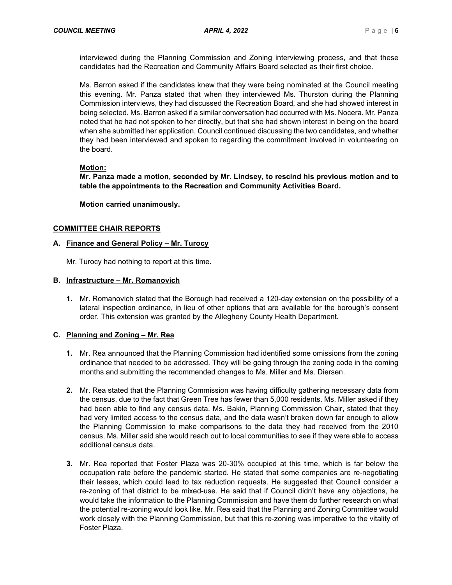interviewed during the Planning Commission and Zoning interviewing process, and that these candidates had the Recreation and Community Affairs Board selected as their first choice.

Ms. Barron asked if the candidates knew that they were being nominated at the Council meeting this evening. Mr. Panza stated that when they interviewed Ms. Thurston during the Planning Commission interviews, they had discussed the Recreation Board, and she had showed interest in being selected. Ms. Barron asked if a similar conversation had occurred with Ms. Nocera. Mr. Panza noted that he had not spoken to her directly, but that she had shown interest in being on the board when she submitted her application. Council continued discussing the two candidates, and whether they had been interviewed and spoken to regarding the commitment involved in volunteering on the board.

## **Motion:**

**Mr. Panza made a motion, seconded by Mr. Lindsey, to rescind his previous motion and to table the appointments to the Recreation and Community Activities Board.** 

**Motion carried unanimously.**

## **COMMITTEE CHAIR REPORTS**

## **A. Finance and General Policy – Mr. Turocy**

Mr. Turocy had nothing to report at this time.

## **B. Infrastructure – Mr. Romanovich**

**1.** Mr. Romanovich stated that the Borough had received a 120-day extension on the possibility of a lateral inspection ordinance, in lieu of other options that are available for the borough's consent order. This extension was granted by the Allegheny County Health Department.

# **C. Planning and Zoning – Mr. Rea**

- **1.** Mr. Rea announced that the Planning Commission had identified some omissions from the zoning ordinance that needed to be addressed. They will be going through the zoning code in the coming months and submitting the recommended changes to Ms. Miller and Ms. Diersen.
- **2.** Mr. Rea stated that the Planning Commission was having difficulty gathering necessary data from the census, due to the fact that Green Tree has fewer than 5,000 residents. Ms. Miller asked if they had been able to find any census data. Ms. Bakin, Planning Commission Chair, stated that they had very limited access to the census data, and the data wasn't broken down far enough to allow the Planning Commission to make comparisons to the data they had received from the 2010 census. Ms. Miller said she would reach out to local communities to see if they were able to access additional census data.
- **3.** Mr. Rea reported that Foster Plaza was 20-30% occupied at this time, which is far below the occupation rate before the pandemic started. He stated that some companies are re-negotiating their leases, which could lead to tax reduction requests. He suggested that Council consider a re-zoning of that district to be mixed-use. He said that if Council didn't have any objections, he would take the information to the Planning Commission and have them do further research on what the potential re-zoning would look like. Mr. Rea said that the Planning and Zoning Committee would work closely with the Planning Commission, but that this re-zoning was imperative to the vitality of Foster Plaza.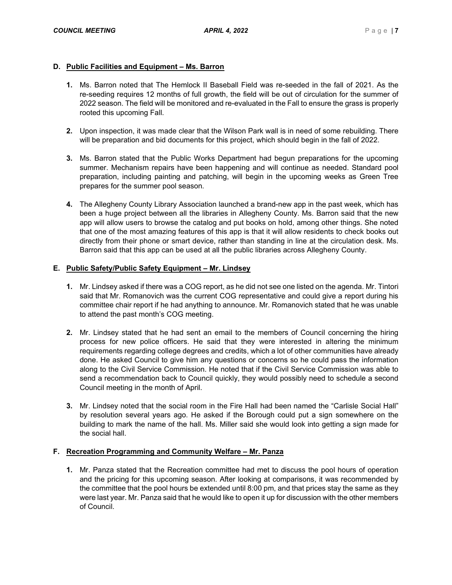## **D. Public Facilities and Equipment – Ms. Barron**

- **1.** Ms. Barron noted that The Hemlock II Baseball Field was re-seeded in the fall of 2021. As the re-seeding requires 12 months of full growth, the field will be out of circulation for the summer of 2022 season. The field will be monitored and re-evaluated in the Fall to ensure the grass is properly rooted this upcoming Fall.
- **2.** Upon inspection, it was made clear that the Wilson Park wall is in need of some rebuilding. There will be preparation and bid documents for this project, which should begin in the fall of 2022.
- **3.** Ms. Barron stated that the Public Works Department had begun preparations for the upcoming summer. Mechanism repairs have been happening and will continue as needed. Standard pool preparation, including painting and patching, will begin in the upcoming weeks as Green Tree prepares for the summer pool season.
- **4.** The Allegheny County Library Association launched a brand-new app in the past week, which has been a huge project between all the libraries in Allegheny County. Ms. Barron said that the new app will allow users to browse the catalog and put books on hold, among other things. She noted that one of the most amazing features of this app is that it will allow residents to check books out directly from their phone or smart device, rather than standing in line at the circulation desk. Ms. Barron said that this app can be used at all the public libraries across Allegheny County.

## **E. Public Safety/Public Safety Equipment – Mr. Lindsey**

- **1.** Mr. Lindsey asked if there was a COG report, as he did not see one listed on the agenda. Mr. Tintori said that Mr. Romanovich was the current COG representative and could give a report during his committee chair report if he had anything to announce. Mr. Romanovich stated that he was unable to attend the past month's COG meeting.
- **2.** Mr. Lindsey stated that he had sent an email to the members of Council concerning the hiring process for new police officers. He said that they were interested in altering the minimum requirements regarding college degrees and credits, which a lot of other communities have already done. He asked Council to give him any questions or concerns so he could pass the information along to the Civil Service Commission. He noted that if the Civil Service Commission was able to send a recommendation back to Council quickly, they would possibly need to schedule a second Council meeting in the month of April.
- **3.** Mr. Lindsey noted that the social room in the Fire Hall had been named the "Carlisle Social Hall" by resolution several years ago. He asked if the Borough could put a sign somewhere on the building to mark the name of the hall. Ms. Miller said she would look into getting a sign made for the social hall.

# **F. Recreation Programming and Community Welfare – Mr. Panza**

**1.** Mr. Panza stated that the Recreation committee had met to discuss the pool hours of operation and the pricing for this upcoming season. After looking at comparisons, it was recommended by the committee that the pool hours be extended until 8:00 pm, and that prices stay the same as they were last year. Mr. Panza said that he would like to open it up for discussion with the other members of Council.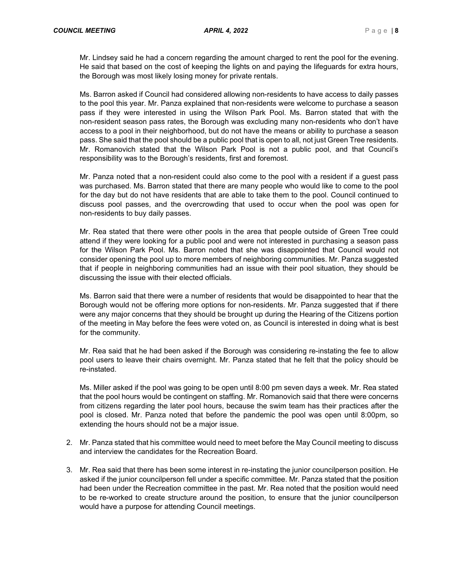Mr. Lindsey said he had a concern regarding the amount charged to rent the pool for the evening. He said that based on the cost of keeping the lights on and paying the lifeguards for extra hours, the Borough was most likely losing money for private rentals.

Ms. Barron asked if Council had considered allowing non-residents to have access to daily passes to the pool this year. Mr. Panza explained that non-residents were welcome to purchase a season pass if they were interested in using the Wilson Park Pool. Ms. Barron stated that with the non-resident season pass rates, the Borough was excluding many non-residents who don't have access to a pool in their neighborhood, but do not have the means or ability to purchase a season pass. She said that the pool should be a public pool that is open to all, not just Green Tree residents. Mr. Romanovich stated that the Wilson Park Pool is not a public pool, and that Council's responsibility was to the Borough's residents, first and foremost.

Mr. Panza noted that a non-resident could also come to the pool with a resident if a guest pass was purchased. Ms. Barron stated that there are many people who would like to come to the pool for the day but do not have residents that are able to take them to the pool. Council continued to discuss pool passes, and the overcrowding that used to occur when the pool was open for non-residents to buy daily passes.

Mr. Rea stated that there were other pools in the area that people outside of Green Tree could attend if they were looking for a public pool and were not interested in purchasing a season pass for the Wilson Park Pool. Ms. Barron noted that she was disappointed that Council would not consider opening the pool up to more members of neighboring communities. Mr. Panza suggested that if people in neighboring communities had an issue with their pool situation, they should be discussing the issue with their elected officials.

Ms. Barron said that there were a number of residents that would be disappointed to hear that the Borough would not be offering more options for non-residents. Mr. Panza suggested that if there were any major concerns that they should be brought up during the Hearing of the Citizens portion of the meeting in May before the fees were voted on, as Council is interested in doing what is best for the community.

Mr. Rea said that he had been asked if the Borough was considering re-instating the fee to allow pool users to leave their chairs overnight. Mr. Panza stated that he felt that the policy should be re-instated.

Ms. Miller asked if the pool was going to be open until 8:00 pm seven days a week. Mr. Rea stated that the pool hours would be contingent on staffing. Mr. Romanovich said that there were concerns from citizens regarding the later pool hours, because the swim team has their practices after the pool is closed. Mr. Panza noted that before the pandemic the pool was open until 8:00pm, so extending the hours should not be a major issue.

- 2. Mr. Panza stated that his committee would need to meet before the May Council meeting to discuss and interview the candidates for the Recreation Board.
- 3. Mr. Rea said that there has been some interest in re-instating the junior councilperson position. He asked if the junior councilperson fell under a specific committee. Mr. Panza stated that the position had been under the Recreation committee in the past. Mr. Rea noted that the position would need to be re-worked to create structure around the position, to ensure that the junior councilperson would have a purpose for attending Council meetings.